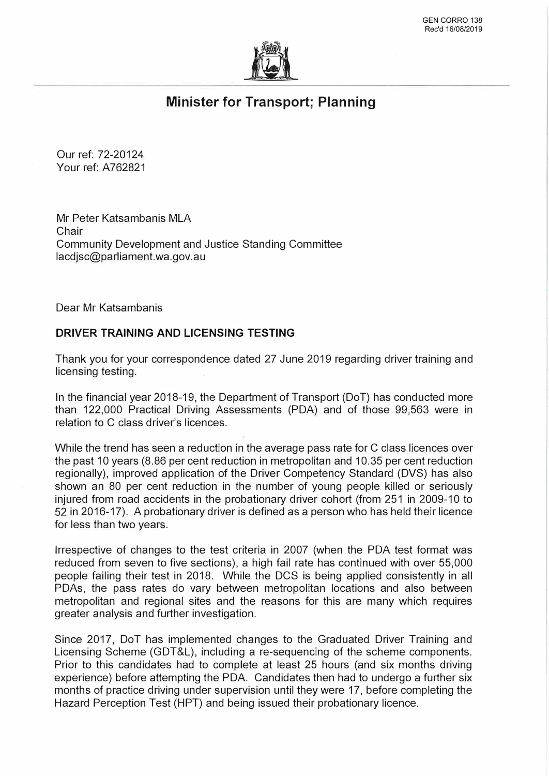

## **Minister for Transport; Planning**

Our ref: 72-20124 Your ref: A762821

Mr Peter Katsambanis MLA Chair Community Development and Justice Standing Committee lacdjsc@parliament.wa.gov.au

Dear Mr Katsambanis

## **DRIVER TRAINING AND LICENSING TESTING**

Thank you for your correspondence dated 27 June 2019 regarding driver training and licensing testing.

In the financial year 2018-19, the Department of Transport (DoT) has conducted more than 122,000 Practical Driving Assessments (PDA) and of those 99,563 were in relation to C class driver's licences.

While the trend has seen a reduction in the average pass rate for C class licences over the past 10 years (8.86 per cent reduction in metropolitan and 10.35 per cent reduction regionally), improved application of the Driver Competency Standard (DVS) has also shown an 80 per cent reduction in the number of young people killed or seriously injured from road accidents in the probationary driver cohort (from 251 in 2009-10 to 52 in 2016-17). A probationary driver is defined as a person who has held their licence for less than two years.

Irrespective of changes to the test criteria in 2007 (when the PDA test format was reduced from seven to five sections), a high fail rate has continued with over 55,000 people failing their test in 2018. While the DCS is being applied consistently in all PDAs, the pass rates do vary between metropolitan locations and also between metropolitan and regional sites and the reasons for this are many which requires greater analysis and further investigation.

Since 2017, DoT has implemented changes to the Graduated Driver Training and Licensing Scheme (GDT&L), including a re-sequencing of the scheme components. Prior to this candidates had to complete at least 25 hours (and six months driving experience) before attempting the PDA. Candidates then had to undergo a further six months of practice driving under supervision until they were 17, before completing the Hazard Perception Test (HPT) and being issued their probationary licence.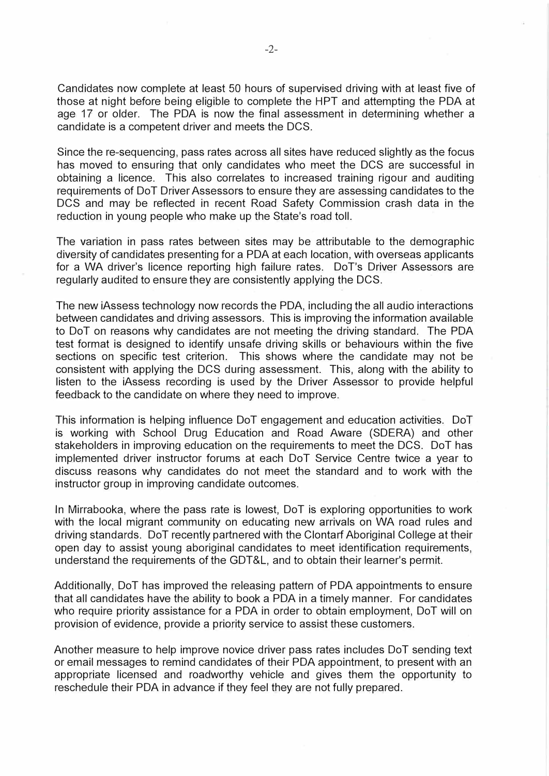Candidates now complete at least 50 hours of supervised driving with at least five of those at night before being eligible to complete the HPT and attempting the PDA at age 17 or older. The PDA is now the final assessment in determining whether a candidate is a competent driver and meets the DCS.

Since the re-sequencing, pass rates across all sites have reduced slightly as the focus has moved to ensuring that only candidates who meet the DCS are successful in obtaining a licence. This also correlates to increased training rigour and auditing requirements of DoT Driver Assessors to ensure they are assessing candidates to the DCS and may be reflected in recent Road Safety Commission crash data in the reduction in young people who make up the State's road toll.

The variation in pass rates between sites may be attributable to the demographic diversity of candidates presenting for a PDA at each location, with overseas applicants for a WA driver's licence reporting high failure rates. DoT's Driver Assessors are regularly audited to ensure they are consistently applying the DCS.

The new iAssess technology now records the PDA, including the all audio interactions between candidates and driving assessors. This is improving the information available to DoT on reasons why candidates are not meeting the driving standard. The PDA test format is designed to identify unsafe driving skills or behaviours within the five sections on specific test criterion. This shows where the candidate may not be consistent with applying the DCS during assessment. This, along with the ability to listen to the iAssess recording is used by the Driver Assessor to provide helpful feedback to the candidate on where they need to improve.

This information is helping influence DoT engagement and education activities. DoT is working with School Drug Education and Road Aware (SDERA) and other stakeholders in improving education on the requirements to meet the DCS. DoT has implemented driver instructor forums at each DoT Service Centre twice a year to discuss reasons why candidates do not meet the standard and to work with the instructor group in improving candidate outcomes.

In Mirrabooka, where the pass rate is lowest, DoT is exploring opportunities to work with the local migrant community on educating new arrivals on WA road rules and driving standards. DoT recently partnered with the Clontarf Aboriginal College at their open day to assist young aboriginal candidates to meet identification requirements, understand the requirements of the GDT&L, and to obtain their learner's permit.

Additionally, DoT has improved the releasing pattern of PDA appointments to ensure that all candidates have the ability to book a PDA in a timely manner. For candidates who require priority assistance for a PDA in order to obtain employment, DoT will on provision of evidence, provide a priority service to assist these customers.

Another measure to help improve novice driver pass rates includes DoT sending text or email messages to remind candidates of their PDA appointment, to present with an appropriate licensed and roadworthy vehicle and gives them the opportunity to reschedule their PDA in advance if they feel they are not fully prepared.